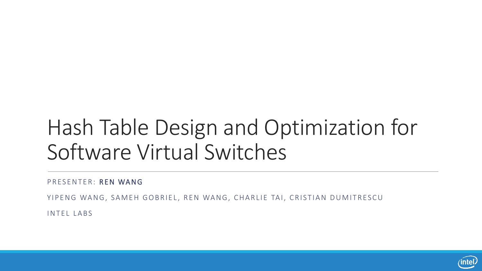# Hash Table Design and Optimization for Software Virtual Switches

PRESENTER: REN WANG

YIPENG WANG, SAMEH GOBRIEL, REN WANG, CHARLIE TAI, CRISTIAN DUMITRESCU

INTEL LABS

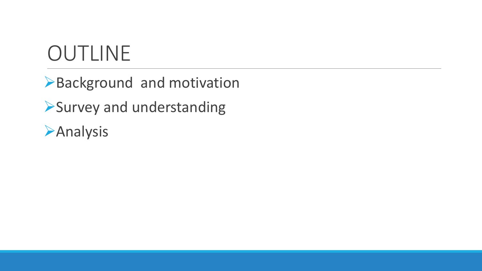## OUTLINE

Background and motivation Survey and understanding

**Analysis**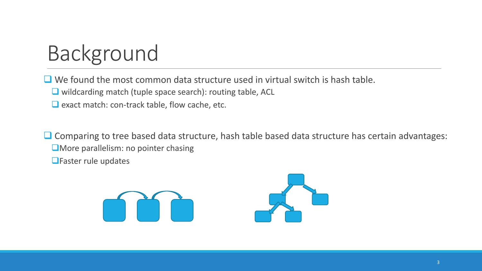# Background

 $\Box$  We found the most common data structure used in virtual switch is hash table.

■ wildcarding match (tuple space search): routing table, ACL

 $\Box$  exact match: con-track table, flow cache, etc.

 $\Box$  Comparing to tree based data structure, hash table based data structure has certain advantages: **OMore parallelism: no pointer chasing** 

**O**Faster rule updates

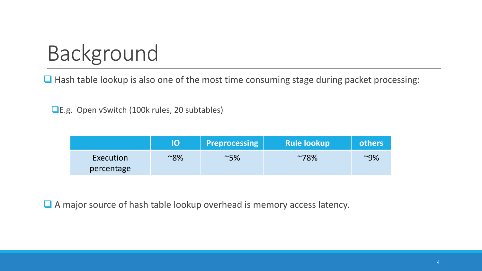# Background

 $\Box$  Hash table lookup is also one of the most time consuming stage during packet processing:

■E.g. Open vSwitch (100k rules, 20 subtables)

|                         | IO     | <b>Preprocessing</b> | <b>Rule lookup</b> | others |
|-------------------------|--------|----------------------|--------------------|--------|
| Execution<br>percentage | $~8\%$ | $~\sim$ 5%           | $~^{\sim}78\%$     | $~9\%$ |

■ A major source of hash table lookup overhead is memory access latency.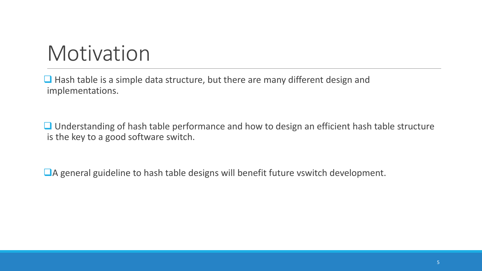## Motivation

 $\Box$  Hash table is a simple data structure, but there are many different design and implementations.

**□** Understanding of hash table performance and how to design an efficient hash table structure is the key to a good software switch.

A general guideline to hash table designs will benefit future vswitch development.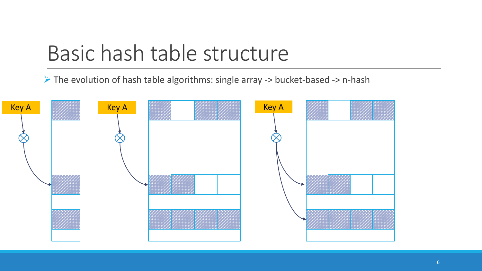#### Basic hash table structure

 $\triangleright$  The evolution of hash table algorithms: single array -> bucket-based -> n-hash

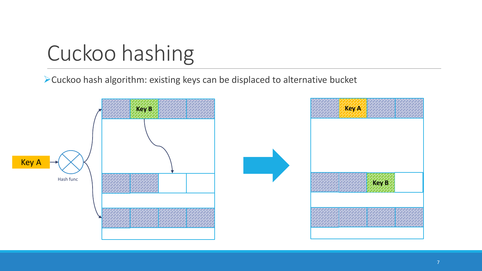# Cuckoo hashing

Cuckoo hash algorithm: existing keys can be displaced to alternative bucket

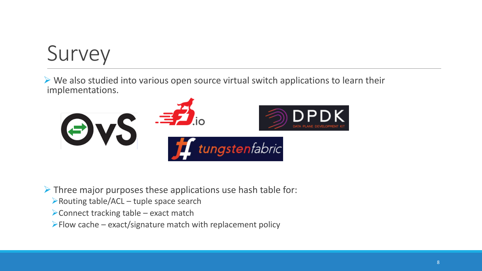# Survey

 $\triangleright$  We also studied into various open source virtual switch applications to learn their implementations.



 $\triangleright$  Three major purposes these applications use hash table for:

- Routing table/ACL tuple space search
- Connect tracking table exact match
- $\blacktriangleright$  Flow cache exact/signature match with replacement policy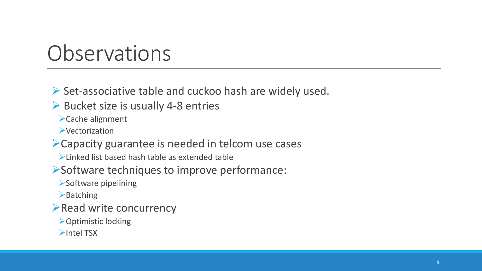### **Observations**

#### $\triangleright$  Set-associative table and cuckoo hash are widely used.

 $\triangleright$  Bucket size is usually 4-8 entries

Cache alignment

**EVectorization** 

Capacity guarantee is needed in telcom use cases

Linked list based hash table as extended table

Software techniques to improve performance:

Software pipelining

 $\blacktriangleright$  Batching

 $\blacktriangleright$  Read write concurrency

**≻Optimistic locking** 

 $\blacktriangleright$ Intel TSX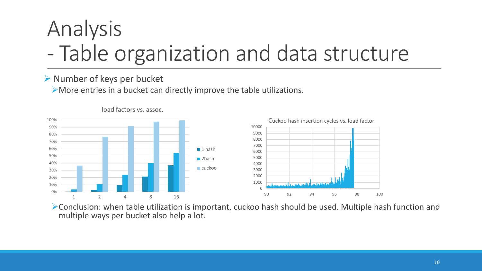# Analysis - Table organization and data structure

#### $\triangleright$  Number of keys per bucket

More entries in a bucket can directly improve the table utilizations.





Conclusion: when table utilization is important, cuckoo hash should be used. Multiple hash function and multiple ways per bucket also help a lot.

load factors vs. assoc.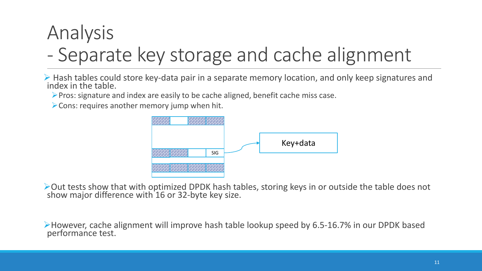#### Analysis - Separate key storage and cache alignment

 $\triangleright$  Hash tables could store key-data pair in a separate memory location, and only keep signatures and index in the table.

 $\triangleright$  Pros: signature and index are easily to be cache aligned, benefit cache miss case.

 $\triangleright$  Cons: requires another memory jump when hit.



 $\triangleright$  Out tests show that with optimized DPDK hash tables, storing keys in or outside the table does not show major difference with 16 or 32-byte key size.

However, cache alignment will improve hash table lookup speed by 6.5-16.7% in our DPDK based performance test.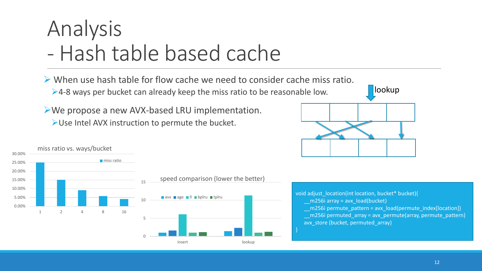# Analysis - Hash table based cache

 $\triangleright$  When use hash table for flow cache we need to consider cache miss ratio. ►4-8 ways per bucket can already keep the miss ratio to be reasonable low.

We propose a new AVX-based LRU implementation. Use Intel AVX instruction to permute the bucket.





void adjust\_location(int location, bucket\* bucket){  $m256i$  array = avx load(bucket)  $m256i$  permute pattern = avx load(permute index[location]) \_\_m256i permuted\_array = avx\_permute(array, permute\_pattern) avx\_store (bucket, permuted\_array)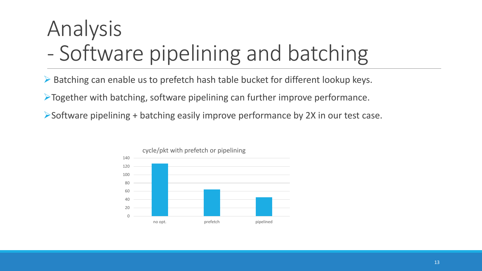# Analysis - Software pipelining and batching

Batching can enable us to prefetch hash table bucket for different lookup keys.

Together with batching, software pipelining can further improve performance.

 $\triangleright$  Software pipelining + batching easily improve performance by 2X in our test case.

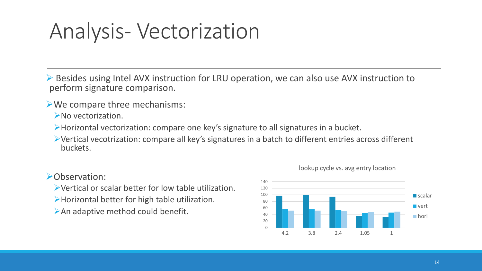## Analysis- Vectorization

 Besides using Intel AVX instruction for LRU operation, we can also use AVX instruction to perform signature comparison.

We compare three mechanisms:

No vectorization.

Horizontal vectorization: compare one key's signature to all signatures in a bucket.

Vertical vecotrization: compare all key's signatures in a batch to different entries across different buckets.

#### Observation:

Vertical or scalar better for low table utilization.

- Horizontal better for high table utilization.
- An adaptive method could benefit.



#### lookup cycle vs. avg entry location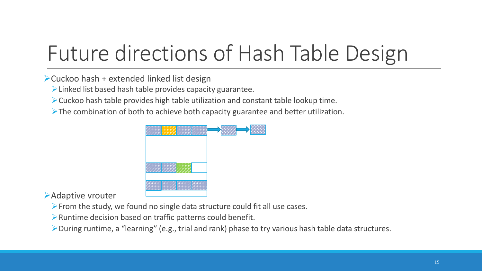# Future directions of Hash Table Design

 $\triangleright$  Cuckoo hash + extended linked list design

 $\triangleright$  Linked list based hash table provides capacity guarantee.

Cuckoo hash table provides high table utilization and constant table lookup time.

 $\triangleright$  The combination of both to achieve both capacity guarantee and better utilization.



Adaptive vrouter

From the study, we found no single data structure could fit all use cases.

Runtime decision based on traffic patterns could benefit.

During runtime, a "learning" (e.g., trial and rank) phase to try various hash table data structures.